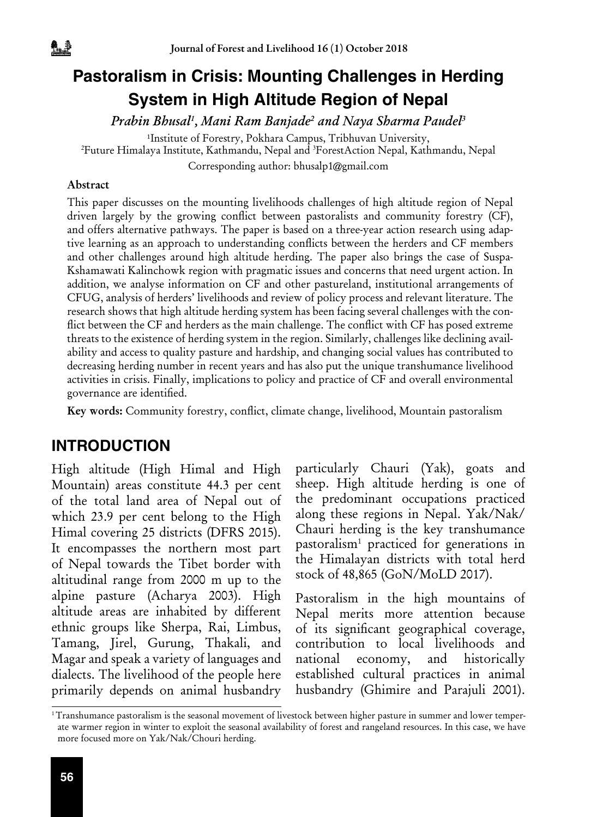# **Pastoralism in Crisis: Mounting Challenges in Herding System in High Altitude Region of Nepal**

*Prabin Bhusal1 , Mani Ram Banjade2 and Naya Sharma Paudel3*

<sup>1</sup>Institute of Forestry, Pokhara Campus, Tribhuvan University,

Future Himalaya Institute, Kathmandu, Nepal and 3 ForestAction Nepal, Kathmandu, Nepal

Corresponding author: bhusalp1@gmail.com

#### Abstract

<u>4. B</u>

This paper discusses on the mounting livelihoods challenges of high altitude region of Nepal driven largely by the growing conflict between pastoralists and community forestry (CF), and offers alternative pathways. The paper is based on a three-year action research using adaptive learning as an approach to understanding conflicts between the herders and CF members and other challenges around high altitude herding. The paper also brings the case of Suspa-Kshamawati Kalinchowk region with pragmatic issues and concerns that need urgent action. In addition, we analyse information on CF and other pastureland, institutional arrangements of CFUG, analysis of herders' livelihoods and review of policy process and relevant literature. The research shows that high altitude herding system has been facing several challenges with the conflict between the CF and herders as the main challenge. The conflict with CF has posed extreme threats to the existence of herding system in the region. Similarly, challenges like declining availability and access to quality pasture and hardship, and changing social values has contributed to decreasing herding number in recent years and has also put the unique transhumance livelihood activities in crisis. Finally, implications to policy and practice of CF and overall environmental governance are identified.

Key words: Community forestry, conflict, climate change, livelihood, Mountain pastoralism

## **INTRODUCTION**

High altitude (High Himal and High Mountain) areas constitute 44.3 per cent of the total land area of Nepal out of which 23.9 per cent belong to the High Himal covering 25 districts (DFRS 2015). It encompasses the northern most part of Nepal towards the Tibet border with altitudinal range from 2000 m up to the alpine pasture (Acharya 2003). High altitude areas are inhabited by different ethnic groups like Sherpa, Rai, Limbus, Tamang, Jirel, Gurung, Thakali, and Magar and speak a variety of languages and dialects. The livelihood of the people here primarily depends on animal husbandry

particularly Chauri (Yak), goats and sheep. High altitude herding is one of the predominant occupations practiced along these regions in Nepal. Yak/Nak/ Chauri herding is the key transhumance pastoralism1 practiced for generations in the Himalayan districts with total herd stock of 48,865 (GoN/MoLD 2017).

Pastoralism in the high mountains of Nepal merits more attention because of its significant geographical coverage, contribution to local livelihoods and national economy, and historically established cultural practices in animal husbandry (Ghimire and Parajuli 2001).

<sup>1</sup> Transhumance pastoralism is the seasonal movement of livestock between higher pasture in summer and lower temperate warmer region in winter to exploit the seasonal availability of forest and rangeland resources. In this case, we have more focused more on Yak/Nak/Chouri herding.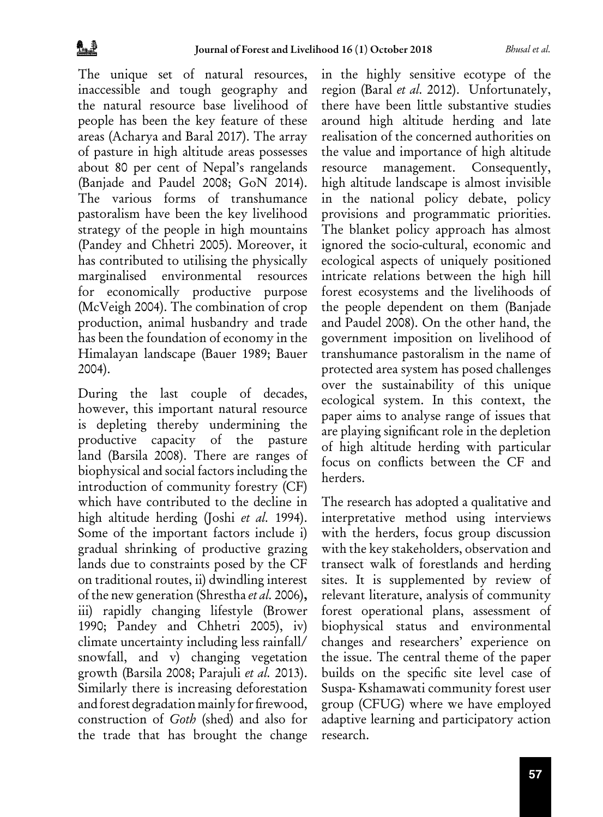The unique set of natural resources, inaccessible and tough geography and the natural resource base livelihood of people has been the key feature of these areas (Acharya and Baral 2017). The array of pasture in high altitude areas possesses about 80 per cent of Nepal's rangelands (Banjade and Paudel 2008; GoN 2014). The various forms of transhumance pastoralism have been the key livelihood strategy of the people in high mountains (Pandey and Chhetri 2005). Moreover, it has contributed to utilising the physically marginalised environmental resources for economically productive purpose (McVeigh 2004). The combination of crop production, animal husbandry and trade has been the foundation of economy in the Himalayan landscape (Bauer 1989; Bauer 2004).

During the last couple of decades, however, this important natural resource is depleting thereby undermining the productive capacity of the pasture land (Barsila 2008). There are ranges of biophysical and social factors including the introduction of community forestry (CF) which have contributed to the decline in high altitude herding (Joshi *et al.* 1994). Some of the important factors include i) gradual shrinking of productive grazing lands due to constraints posed by the CF on traditional routes, ii) dwindling interest of the new generation (Shrestha *et al.* 2006), iii) rapidly changing lifestyle (Brower 1990; Pandey and Chhetri 2005), iv) climate uncertainty including less rainfall/ snowfall, and v) changing vegetation growth (Barsila 2008; Parajuli *et al.* 2013). Similarly there is increasing deforestation and forest degradation mainly for firewood, construction of *Goth* (shed) and also for the trade that has brought the change

in the highly sensitive ecotype of the region (Baral *et al.* 2012). Unfortunately, there have been little substantive studies around high altitude herding and late realisation of the concerned authorities on the value and importance of high altitude resource management. Consequently, high altitude landscape is almost invisible in the national policy debate, policy provisions and programmatic priorities. The blanket policy approach has almost ignored the socio-cultural, economic and ecological aspects of uniquely positioned intricate relations between the high hill forest ecosystems and the livelihoods of the people dependent on them (Banjade and Paudel 2008). On the other hand, the government imposition on livelihood of transhumance pastoralism in the name of protected area system has posed challenges over the sustainability of this unique ecological system. In this context, the paper aims to analyse range of issues that are playing significant role in the depletion of high altitude herding with particular focus on conflicts between the CF and herders.

The research has adopted a qualitative and interpretative method using interviews with the herders, focus group discussion with the key stakeholders, observation and transect walk of forestlands and herding sites. It is supplemented by review of relevant literature, analysis of community forest operational plans, assessment of biophysical status and environmental changes and researchers' experience on the issue. The central theme of the paper builds on the specific site level case of Suspa- Kshamawati community forest user group (CFUG) where we have employed adaptive learning and participatory action research.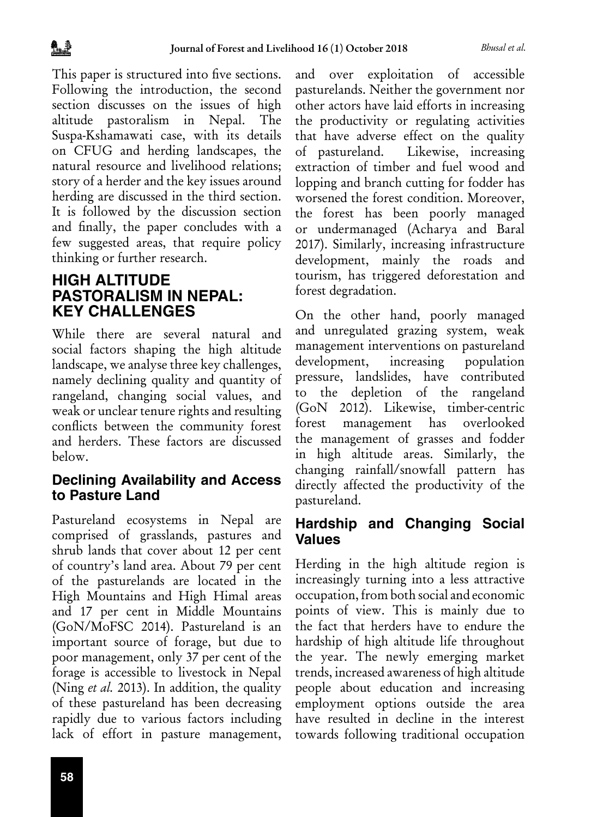This paper is structured into five sections. Following the introduction, the second section discusses on the issues of high altitude pastoralism in Nepal. The Suspa-Kshamawati case, with its details on CFUG and herding landscapes, the natural resource and livelihood relations; story of a herder and the key issues around herding are discussed in the third section. It is followed by the discussion section and finally, the paper concludes with a few suggested areas, that require policy thinking or further research.

## **HIGH ALTITUDE PASTORALISM IN NEPAL: KEY CHALLENGES**

While there are several natural and social factors shaping the high altitude landscape, we analyse three key challenges, namely declining quality and quantity of rangeland, changing social values, and weak or unclear tenure rights and resulting conflicts between the community forest and herders. These factors are discussed below.

#### **Declining Availability and Access to Pasture Land**

Pastureland ecosystems in Nepal are comprised of grasslands, pastures and shrub lands that cover about 12 per cent of country's land area. About 79 per cent of the pasturelands are located in the High Mountains and High Himal areas and 17 per cent in Middle Mountains (GoN/MoFSC 2014). Pastureland is an important source of forage, but due to poor management, only 37 per cent of the forage is accessible to livestock in Nepal (Ning *et al.* 2013). In addition, the quality of these pastureland has been decreasing rapidly due to various factors including lack of effort in pasture management, and over exploitation of accessible pasturelands. Neither the government nor other actors have laid efforts in increasing the productivity or regulating activities that have adverse effect on the quality of pastureland. Likewise, increasing extraction of timber and fuel wood and lopping and branch cutting for fodder has worsened the forest condition. Moreover, the forest has been poorly managed or undermanaged (Acharya and Baral 2017). Similarly, increasing infrastructure development, mainly the roads and tourism, has triggered deforestation and forest degradation.

On the other hand, poorly managed and unregulated grazing system, weak management interventions on pastureland development, increasing population pressure, landslides, have contributed to the depletion of the rangeland (GoN 2012). Likewise, timber-centric forest management has overlooked the management of grasses and fodder in high altitude areas. Similarly, the changing rainfall/snowfall pattern has directly affected the productivity of the pastureland.

## **Hardship and Changing Social Values**

Herding in the high altitude region is increasingly turning into a less attractive occupation, from both social and economic points of view. This is mainly due to the fact that herders have to endure the hardship of high altitude life throughout the year. The newly emerging market trends, increased awareness of high altitude people about education and increasing employment options outside the area have resulted in decline in the interest towards following traditional occupation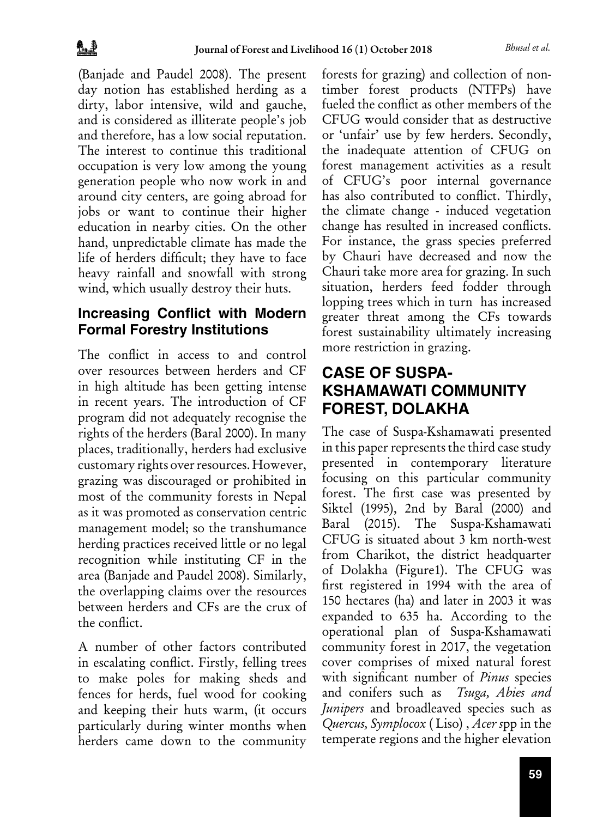(Banjade and Paudel 2008). The present day notion has established herding as a dirty, labor intensive, wild and gauche, and is considered as illiterate people's job and therefore, has a low social reputation. The interest to continue this traditional occupation is very low among the young generation people who now work in and around city centers, are going abroad for jobs or want to continue their higher education in nearby cities. On the other hand, unpredictable climate has made the life of herders difficult; they have to face heavy rainfall and snowfall with strong wind, which usually destroy their huts.

## **Increasing Conflict with Modern Formal Forestry Institutions**

The conflict in access to and control over resources between herders and CF in high altitude has been getting intense in recent years. The introduction of CF program did not adequately recognise the rights of the herders (Baral 2000). In many places, traditionally, herders had exclusive customary rights over resources. However, grazing was discouraged or prohibited in most of the community forests in Nepal as it was promoted as conservation centric management model; so the transhumance herding practices received little or no legal recognition while instituting CF in the area (Banjade and Paudel 2008). Similarly, the overlapping claims over the resources between herders and CFs are the crux of the conflict.

A number of other factors contributed in escalating conflict. Firstly, felling trees to make poles for making sheds and fences for herds, fuel wood for cooking and keeping their huts warm, (it occurs particularly during winter months when herders came down to the community forests for grazing) and collection of nontimber forest products (NTFPs) have fueled the conflict as other members of the CFUG would consider that as destructive or 'unfair' use by few herders. Secondly, the inadequate attention of CFUG on forest management activities as a result of CFUG's poor internal governance has also contributed to conflict. Thirdly, the climate change - induced vegetation change has resulted in increased conflicts. For instance, the grass species preferred by Chauri have decreased and now the Chauri take more area for grazing. In such situation, herders feed fodder through lopping trees which in turn has increased greater threat among the CFs towards forest sustainability ultimately increasing more restriction in grazing.

## **CASE OF SUSPA-KSHAMAWATI COMMUNITY FOREST, DOLAKHA**

The case of Suspa-Kshamawati presented in this paper represents the third case study presented in contemporary literature focusing on this particular community forest. The first case was presented by Siktel (1995), 2nd by Baral (2000) and Baral (2015). The Suspa-Kshamawati CFUG is situated about 3 km north-west from Charikot, the district headquarter of Dolakha (Figure1). The CFUG was first registered in 1994 with the area of 150 hectares (ha) and later in 2003 it was expanded to 635 ha. According to the operational plan of Suspa-Kshamawati community forest in 2017, the vegetation cover comprises of mixed natural forest with significant number of *Pinus* species and conifers such as *Tsuga, Abies and Junipers* and broadleaved species such as *Quercus, Symplocox* ( Liso) , *Acer s*pp in the temperate regions and the higher elevation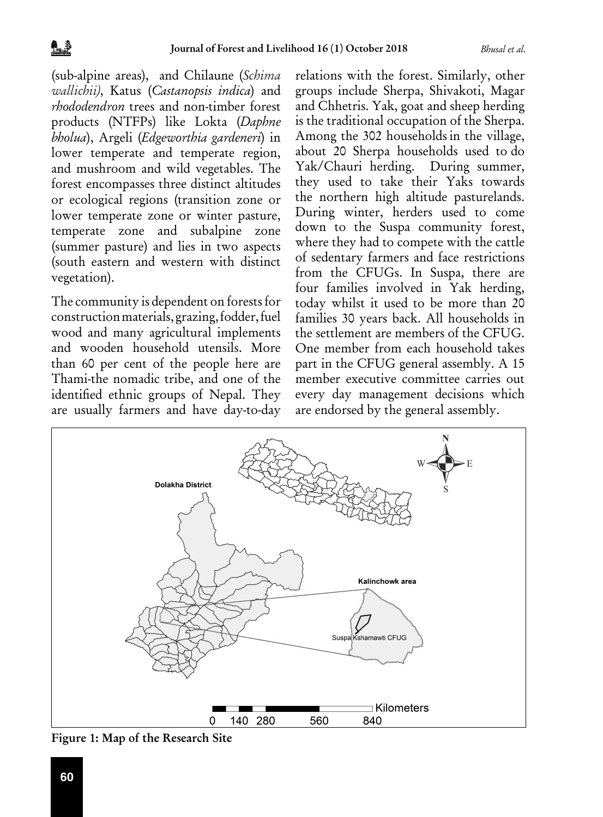(sub-alpine areas), and Chilaune (*Schima wallichii)*, Katus (*Castanopsis indica*) and *rhododendron* trees and non-timber forest products (NTFPs) like Lokta (*Daphne bholua*), Argeli (*Edgeworthia gardeneri*) in lower temperate and temperate region, and mushroom and wild vegetables. The forest encompasses three distinct altitudes or ecological regions (transition zone or lower temperate zone or winter pasture, temperate zone and subalpine zone (summer pasture) and lies in two aspects (south eastern and western with distinct vegetation).

The community is dependent on forests for construction materials, grazing, fodder, fuel wood and many agricultural implements and wooden household utensils. More than 60 per cent of the people here are Thami-the nomadic tribe, and one of the identified ethnic groups of Nepal. They are usually farmers and have day-to-day relations with the forest. Similarly, other groups include Sherpa, Shivakoti, Magar and Chhetris. Yak, goat and sheep herding is the traditional occupation of the Sherpa. Among the 302 households in the village, about 20 Sherpa households used to do Yak/Chauri herding. During summer, they used to take their Yaks towards the northern high altitude pasturelands. During winter, herders used to come down to the Suspa community forest, where they had to compete with the cattle of sedentary farmers and face restrictions from the CFUGs. In Suspa, there are four families involved in Yak herding, today whilst it used to be more than 20 families 30 years back. All households in the settlement are members of the CFUG. One member from each household takes part in the CFUG general assembly. A 15 member executive committee carries out every day management decisions which are endorsed by the general assembly.



Figure 1: Map of the Research Site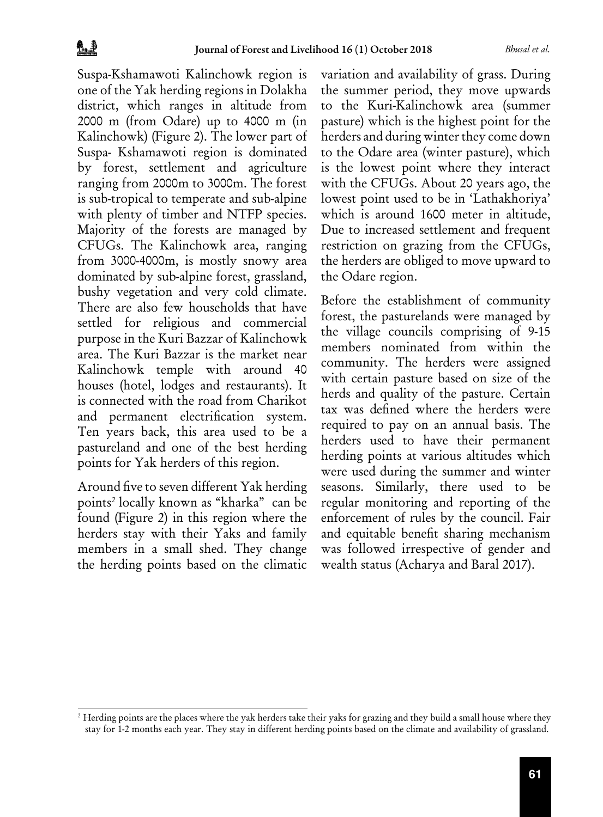Suspa-Kshamawoti Kalinchowk region is one of the Yak herding regions in Dolakha district, which ranges in altitude from 2000 m (from Odare) up to 4000 m (in Kalinchowk) (Figure 2). The lower part of Suspa- Kshamawoti region is dominated by forest, settlement and agriculture ranging from 2000m to 3000m. The forest is sub-tropical to temperate and sub-alpine with plenty of timber and NTFP species. Majority of the forests are managed by CFUGs. The Kalinchowk area, ranging from 3000-4000m, is mostly snowy area dominated by sub-alpine forest, grassland, bushy vegetation and very cold climate. There are also few households that have settled for religious and commercial purpose in the Kuri Bazzar of Kalinchowk area. The Kuri Bazzar is the market near Kalinchowk temple with around 40 houses (hotel, lodges and restaurants). It is connected with the road from Charikot and permanent electrification system. Ten years back, this area used to be a pastureland and one of the best herding points for Yak herders of this region.

Around five to seven different Yak herding points*<sup>2</sup>* locally known as "kharka" can be found (Figure 2) in this region where the herders stay with their Yaks and family members in a small shed. They change the herding points based on the climatic

variation and availability of grass. During the summer period, they move upwards to the Kuri-Kalinchowk area (summer pasture) which is the highest point for the herders and during winter they come down to the Odare area (winter pasture), which is the lowest point where they interact with the CFUGs. About 20 years ago, the lowest point used to be in 'Lathakhoriya' which is around 1600 meter in altitude, Due to increased settlement and frequent restriction on grazing from the CFUGs, the herders are obliged to move upward to the Odare region.

Before the establishment of community forest, the pasturelands were managed by the village councils comprising of 9-15 members nominated from within the community. The herders were assigned with certain pasture based on size of the herds and quality of the pasture. Certain tax was defined where the herders were required to pay on an annual basis. The herders used to have their permanent herding points at various altitudes which were used during the summer and winter seasons. Similarly, there used to be regular monitoring and reporting of the enforcement of rules by the council. Fair and equitable benefit sharing mechanism was followed irrespective of gender and wealth status (Acharya and Baral 2017).

<sup>&</sup>lt;sup>2</sup> Herding points are the places where the yak herders take their yaks for grazing and they build a small house where they stay for 1-2 months each year. They stay in different herding points based on the climate and availability of grassland.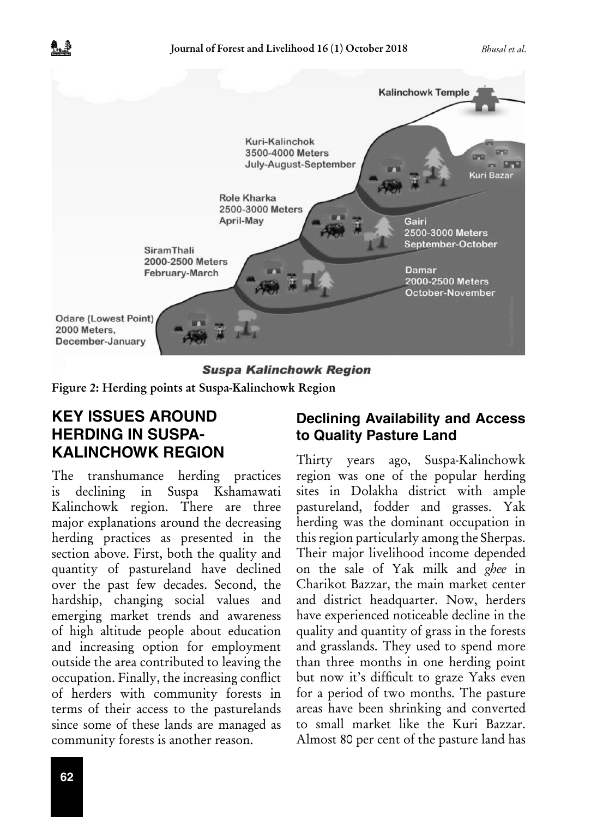

**Suspa Kalinchowk Region** 

Figure 2: Herding points at Suspa-Kalinchowk Region

## **KEY ISSUES AROUND HERDING IN SUSPA-KALINCHOWK REGION**

The transhumance herding practices is declining in Suspa Kshamawati Kalinchowk region. There are three major explanations around the decreasing herding practices as presented in the section above. First, both the quality and quantity of pastureland have declined over the past few decades. Second, the hardship, changing social values and emerging market trends and awareness of high altitude people about education and increasing option for employment outside the area contributed to leaving the occupation. Finally, the increasing conflict of herders with community forests in terms of their access to the pasturelands since some of these lands are managed as community forests is another reason.

#### **Declining Availability and Access to Quality Pasture Land**

Thirty years ago, Suspa-Kalinchowk region was one of the popular herding sites in Dolakha district with ample pastureland, fodder and grasses. Yak herding was the dominant occupation in this region particularly among the Sherpas. Their major livelihood income depended on the sale of Yak milk and *ghee* in Charikot Bazzar, the main market center and district headquarter. Now, herders have experienced noticeable decline in the quality and quantity of grass in the forests and grasslands. They used to spend more than three months in one herding point but now it's difficult to graze Yaks even for a period of two months. The pasture areas have been shrinking and converted to small market like the Kuri Bazzar. Almost 80 per cent of the pasture land has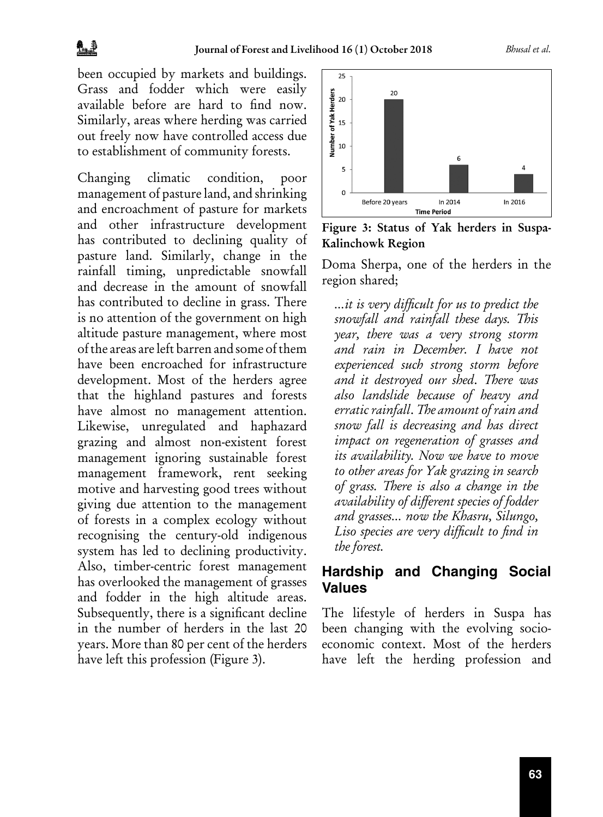been occupied by markets and buildings. Grass and fodder which were easily available before are hard to find now. Similarly, areas where herding was carried out freely now have controlled access due to establishment of community forests.

Changing climatic condition, poor management of pasture land, and shrinking and encroachment of pasture for markets and other infrastructure development has contributed to declining quality of pasture land. Similarly, change in the rainfall timing, unpredictable snowfall and decrease in the amount of snowfall has contributed to decline in grass. There is no attention of the government on high altitude pasture management, where most of the areas are left barren and some of them have been encroached for infrastructure development. Most of the herders agree that the highland pastures and forests have almost no management attention. Likewise, unregulated and haphazard grazing and almost non-existent forest management ignoring sustainable forest management framework, rent seeking motive and harvesting good trees without giving due attention to the management of forests in a complex ecology without recognising the century-old indigenous system has led to declining productivity. Also, timber-centric forest management has overlooked the management of grasses and fodder in the high altitude areas. Subsequently, there is a significant decline in the number of herders in the last 20 years. More than 80 per cent of the herders have left this profession (Figure 3).



Figure 3: Status of Yak herders in Suspa-Kalinchowk Region

Doma Sherpa, one of the herders in the region shared;

*…it is very difficult for us to predict the snowfall and rainfall these days. This year, there was a very strong storm and rain in December. I have not experienced such strong storm before and it destroyed our shed*. *There was also landslide because of heavy and erratic rainfall*. *The amount of rain and snow fall is decreasing and has direct impact on regeneration of grasses and its availability. Now we have to move to other areas for Yak grazing in search of grass. There is also a change in the availability of different species of fodder and grasses… now the Khasru, Silungo, Liso species are very difficult to find in the forest.* 

#### **Hardship and Changing Social Values**

The lifestyle of herders in Suspa has been changing with the evolving socioeconomic context. Most of the herders have left the herding profession and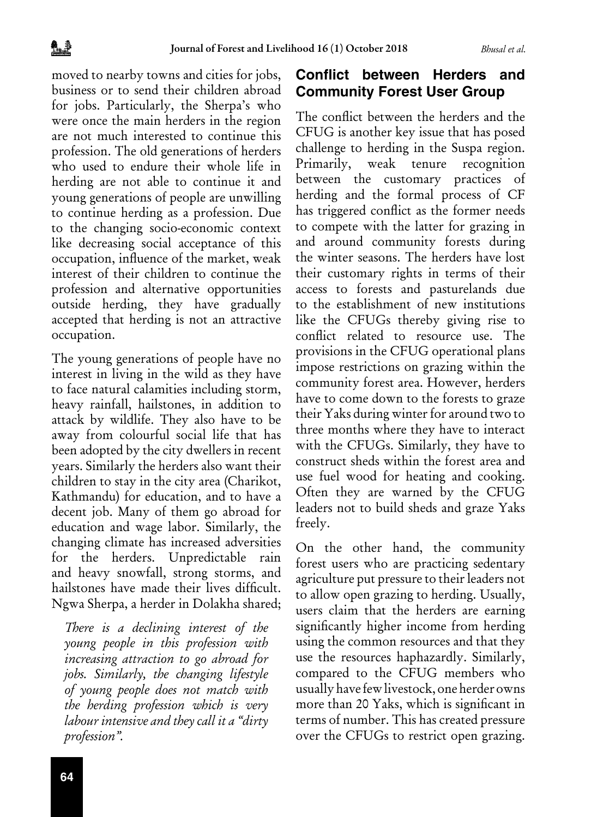moved to nearby towns and cities for jobs, business or to send their children abroad for jobs. Particularly, the Sherpa's who were once the main herders in the region are not much interested to continue this profession. The old generations of herders who used to endure their whole life in herding are not able to continue it and young generations of people are unwilling to continue herding as a profession. Due to the changing socio-economic context like decreasing social acceptance of this occupation, influence of the market, weak interest of their children to continue the profession and alternative opportunities outside herding, they have gradually accepted that herding is not an attractive occupation.

The young generations of people have no interest in living in the wild as they have to face natural calamities including storm, heavy rainfall, hailstones, in addition to attack by wildlife. They also have to be away from colourful social life that has been adopted by the city dwellers in recent years. Similarly the herders also want their children to stay in the city area (Charikot, Kathmandu) for education, and to have a decent job. Many of them go abroad for education and wage labor. Similarly, the changing climate has increased adversities for the herders. Unpredictable rain and heavy snowfall, strong storms, and hailstones have made their lives difficult. Ngwa Sherpa, a herder in Dolakha shared;

*There is a declining interest of the young people in this profession with increasing attraction to go abroad for jobs. Similarly, the changing lifestyle of young people does not match with the herding profession which is very labour intensive and they call it a "dirty profession".* 

#### **Conflict between Herders and Community Forest User Group**

The conflict between the herders and the CFUG is another key issue that has posed challenge to herding in the Suspa region. Primarily, weak tenure recognition between the customary practices of herding and the formal process of CF has triggered conflict as the former needs to compete with the latter for grazing in and around community forests during the winter seasons. The herders have lost their customary rights in terms of their access to forests and pasturelands due to the establishment of new institutions like the CFUGs thereby giving rise to conflict related to resource use. The provisions in the CFUG operational plans impose restrictions on grazing within the community forest area. However, herders have to come down to the forests to graze their Yaks during winter for around two to three months where they have to interact with the CFUGs. Similarly, they have to construct sheds within the forest area and use fuel wood for heating and cooking. Often they are warned by the CFUG leaders not to build sheds and graze Yaks freely.

On the other hand, the community forest users who are practicing sedentary agriculture put pressure to their leaders not to allow open grazing to herding. Usually, users claim that the herders are earning significantly higher income from herding using the common resources and that they use the resources haphazardly. Similarly, compared to the CFUG members who usually have few livestock, one herder owns more than 20 Yaks, which is significant in terms of number. This has created pressure over the CFUGs to restrict open grazing.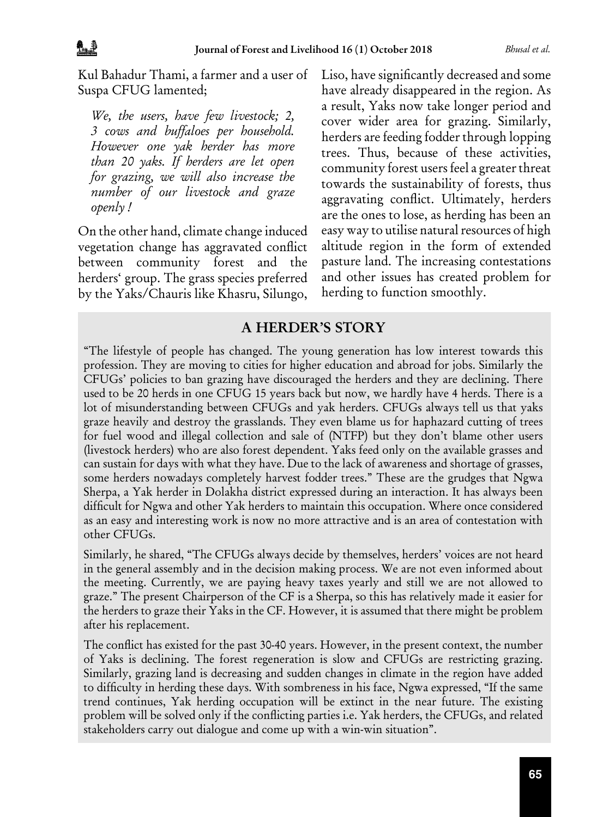Kul Bahadur Thami, a farmer and a user of Suspa CFUG lamented;

*We, the users, have few livestock; 2, 3 cows and buffaloes per household. However one yak herder has more than 20 yaks. If herders are let open for grazing, we will also increase the number of our livestock and graze openly !* 

On the other hand, climate change induced vegetation change has aggravated conflict between community forest and the herders' group. The grass species preferred by the Yaks/Chauris like Khasru, Silungo, Liso, have significantly decreased and some have already disappeared in the region. As a result, Yaks now take longer period and cover wider area for grazing. Similarly, herders are feeding fodder through lopping trees. Thus, because of these activities, community forest users feel a greater threat towards the sustainability of forests, thus aggravating conflict. Ultimately, herders are the ones to lose, as herding has been an easy way to utilise natural resources of high altitude region in the form of extended pasture land. The increasing contestations and other issues has created problem for herding to function smoothly.

#### A HERDER'S STORY

"The lifestyle of people has changed. The young generation has low interest towards this profession. They are moving to cities for higher education and abroad for jobs. Similarly the CFUGs' policies to ban grazing have discouraged the herders and they are declining. There used to be 20 herds in one CFUG 15 years back but now, we hardly have 4 herds. There is a lot of misunderstanding between CFUGs and yak herders. CFUGs always tell us that yaks graze heavily and destroy the grasslands. They even blame us for haphazard cutting of trees for fuel wood and illegal collection and sale of (NTFP) but they don't blame other users (livestock herders) who are also forest dependent. Yaks feed only on the available grasses and can sustain for days with what they have. Due to the lack of awareness and shortage of grasses, some herders nowadays completely harvest fodder trees." These are the grudges that Ngwa Sherpa, a Yak herder in Dolakha district expressed during an interaction. It has always been difficult for Ngwa and other Yak herders to maintain this occupation. Where once considered as an easy and interesting work is now no more attractive and is an area of contestation with other CFUGs.

Similarly, he shared, "The CFUGs always decide by themselves, herders' voices are not heard in the general assembly and in the decision making process. We are not even informed about the meeting. Currently, we are paying heavy taxes yearly and still we are not allowed to graze." The present Chairperson of the CF is a Sherpa, so this has relatively made it easier for the herders to graze their Yaks in the CF. However, it is assumed that there might be problem after his replacement.

The conflict has existed for the past 30-40 years. However, in the present context, the number of Yaks is declining. The forest regeneration is slow and CFUGs are restricting grazing. Similarly, grazing land is decreasing and sudden changes in climate in the region have added to difficulty in herding these days. With sombreness in his face, Ngwa expressed, "If the same trend continues, Yak herding occupation will be extinct in the near future. The existing problem will be solved only if the conflicting parties i.e. Yak herders, the CFUGs, and related stakeholders carry out dialogue and come up with a win-win situation".

**65**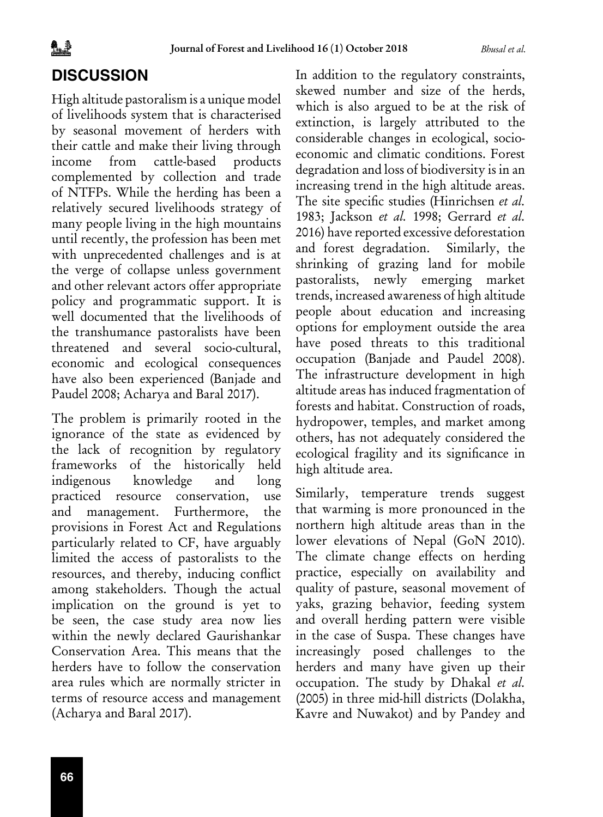## **DISCUSSION**

High altitude pastoralism is a unique model of livelihoods system that is characterised by seasonal movement of herders with their cattle and make their living through income from cattle-based products complemented by collection and trade of NTFPs. While the herding has been a relatively secured livelihoods strategy of many people living in the high mountains until recently, the profession has been met with unprecedented challenges and is at the verge of collapse unless government and other relevant actors offer appropriate policy and programmatic support. It is well documented that the livelihoods of the transhumance pastoralists have been threatened and several socio-cultural, economic and ecological consequences have also been experienced (Banjade and Paudel 2008; Acharya and Baral 2017).

The problem is primarily rooted in the ignorance of the state as evidenced by the lack of recognition by regulatory frameworks of the historically held indigenous knowledge and long practiced resource conservation, use and management. Furthermore, the provisions in Forest Act and Regulations particularly related to CF, have arguably limited the access of pastoralists to the resources, and thereby, inducing conflict among stakeholders. Though the actual implication on the ground is yet to be seen, the case study area now lies within the newly declared Gaurishankar Conservation Area. This means that the herders have to follow the conservation area rules which are normally stricter in terms of resource access and management (Acharya and Baral 2017).

In addition to the regulatory constraints, skewed number and size of the herds, which is also argued to be at the risk of extinction, is largely attributed to the considerable changes in ecological, socioeconomic and climatic conditions. Forest degradation and loss of biodiversity is in an increasing trend in the high altitude areas. The site specific studies (Hinrichsen *et al.* 1983; Jackson *et al.* 1998; Gerrard *et al.* 2016) have reported excessive deforestation and forest degradation. Similarly, the shrinking of grazing land for mobile pastoralists, newly emerging market trends, increased awareness of high altitude people about education and increasing options for employment outside the area have posed threats to this traditional occupation (Banjade and Paudel 2008). The infrastructure development in high altitude areas has induced fragmentation of forests and habitat. Construction of roads, hydropower, temples, and market among others, has not adequately considered the ecological fragility and its significance in high altitude area.

Similarly, temperature trends suggest that warming is more pronounced in the northern high altitude areas than in the lower elevations of Nepal (GoN 2010). The climate change effects on herding practice, especially on availability and quality of pasture, seasonal movement of yaks, grazing behavior, feeding system and overall herding pattern were visible in the case of Suspa. These changes have increasingly posed challenges to the herders and many have given up their occupation. The study by Dhakal *et al.* (2005) in three mid-hill districts (Dolakha, Kavre and Nuwakot) and by Pandey and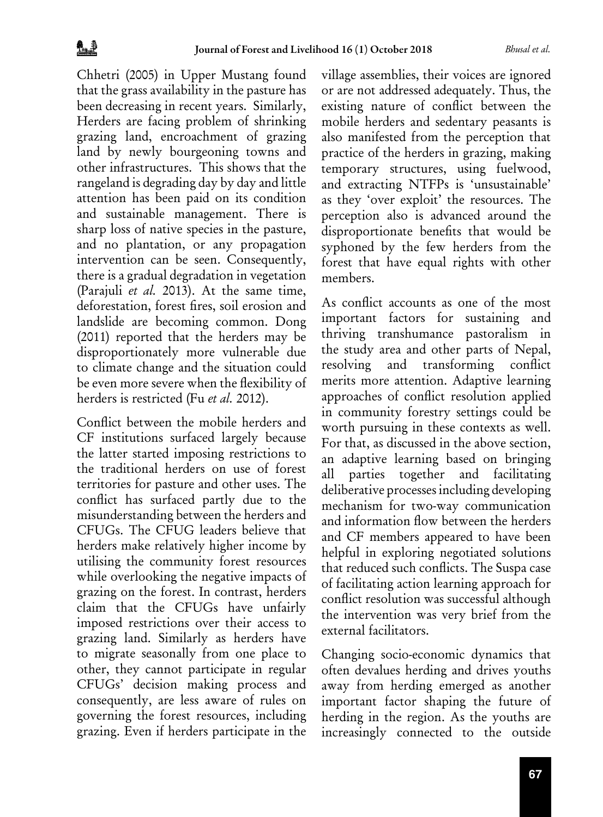Chhetri (2005) in Upper Mustang found that the grass availability in the pasture has been decreasing in recent years. Similarly, Herders are facing problem of shrinking grazing land, encroachment of grazing land by newly bourgeoning towns and other infrastructures. This shows that the rangeland is degrading day by day and little attention has been paid on its condition and sustainable management. There is sharp loss of native species in the pasture, and no plantation, or any propagation intervention can be seen. Consequently, there is a gradual degradation in vegetation (Parajuli *et al.* 2013). At the same time, deforestation, forest fires, soil erosion and landslide are becoming common. Dong (2011) reported that the herders may be disproportionately more vulnerable due to climate change and the situation could be even more severe when the flexibility of herders is restricted (Fu *et al.* 2012).

Conflict between the mobile herders and CF institutions surfaced largely because the latter started imposing restrictions to the traditional herders on use of forest territories for pasture and other uses. The conflict has surfaced partly due to the misunderstanding between the herders and CFUGs. The CFUG leaders believe that herders make relatively higher income by utilising the community forest resources while overlooking the negative impacts of grazing on the forest. In contrast, herders claim that the CFUGs have unfairly imposed restrictions over their access to grazing land. Similarly as herders have to migrate seasonally from one place to other, they cannot participate in regular CFUGs' decision making process and consequently, are less aware of rules on governing the forest resources, including grazing. Even if herders participate in the

village assemblies, their voices are ignored or are not addressed adequately. Thus, the existing nature of conflict between the mobile herders and sedentary peasants is also manifested from the perception that practice of the herders in grazing, making temporary structures, using fuelwood, and extracting NTFPs is 'unsustainable' as they 'over exploit' the resources. The perception also is advanced around the disproportionate benefits that would be syphoned by the few herders from the forest that have equal rights with other members.

As conflict accounts as one of the most important factors for sustaining and thriving transhumance pastoralism in the study area and other parts of Nepal, resolving and transforming conflict merits more attention. Adaptive learning approaches of conflict resolution applied in community forestry settings could be worth pursuing in these contexts as well. For that, as discussed in the above section, an adaptive learning based on bringing all parties together and facilitating deliberative processes including developing mechanism for two-way communication and information flow between the herders and CF members appeared to have been helpful in exploring negotiated solutions that reduced such conflicts. The Suspa case of facilitating action learning approach for conflict resolution was successful although the intervention was very brief from the external facilitators.

Changing socio-economic dynamics that often devalues herding and drives youths away from herding emerged as another important factor shaping the future of herding in the region. As the youths are increasingly connected to the outside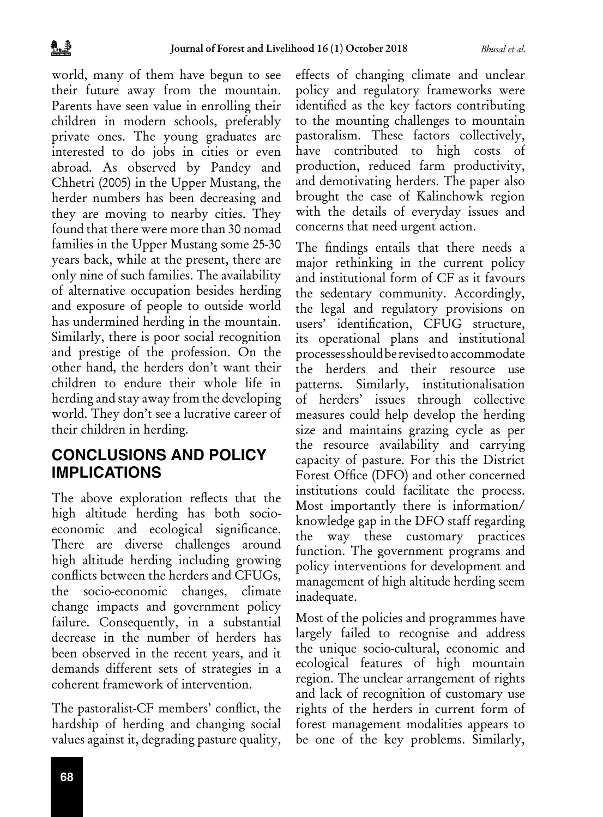world, many of them have begun to see their future away from the mountain. Parents have seen value in enrolling their children in modern schools, preferably private ones. The young graduates are interested to do jobs in cities or even abroad. As observed by Pandey and Chhetri (2005) in the Upper Mustang, the herder numbers has been decreasing and they are moving to nearby cities. They found that there were more than 30 nomad families in the Upper Mustang some 25-30 years back, while at the present, there are only nine of such families. The availability of alternative occupation besides herding and exposure of people to outside world has undermined herding in the mountain. Similarly, there is poor social recognition and prestige of the profession. On the other hand, the herders don't want their children to endure their whole life in herding and stay away from the developing world. They don't see a lucrative career of their children in herding.

## **CONCLUSIONS AND POLICY IMPLICATIONS**

The above exploration reflects that the high altitude herding has both socioeconomic and ecological significance. There are diverse challenges around high altitude herding including growing conflicts between the herders and CFUGs, the socio-economic changes, climate change impacts and government policy failure. Consequently, in a substantial decrease in the number of herders has been observed in the recent years, and it demands different sets of strategies in a coherent framework of intervention.

The pastoralist-CF members' conflict, the hardship of herding and changing social values against it, degrading pasture quality, effects of changing climate and unclear policy and regulatory frameworks were identified as the key factors contributing to the mounting challenges to mountain pastoralism. These factors collectively, have contributed to high costs of production, reduced farm productivity, and demotivating herders. The paper also brought the case of Kalinchowk region with the details of everyday issues and concerns that need urgent action.

The findings entails that there needs a major rethinking in the current policy and institutional form of CF as it favours the sedentary community. Accordingly, the legal and regulatory provisions on users' identification, CFUG structure, its operational plans and institutional processes should be revised to accommodate the herders and their resource use patterns. Similarly, institutionalisation of herders' issues through collective measures could help develop the herding size and maintains grazing cycle as per the resource availability and carrying capacity of pasture. For this the District Forest Office (DFO) and other concerned institutions could facilitate the process. Most importantly there is information/ knowledge gap in the DFO staff regarding the way these customary practices function. The government programs and policy interventions for development and management of high altitude herding seem inadequate.

Most of the policies and programmes have largely failed to recognise and address the unique socio-cultural, economic and ecological features of high mountain region. The unclear arrangement of rights and lack of recognition of customary use rights of the herders in current form of forest management modalities appears to be one of the key problems. Similarly,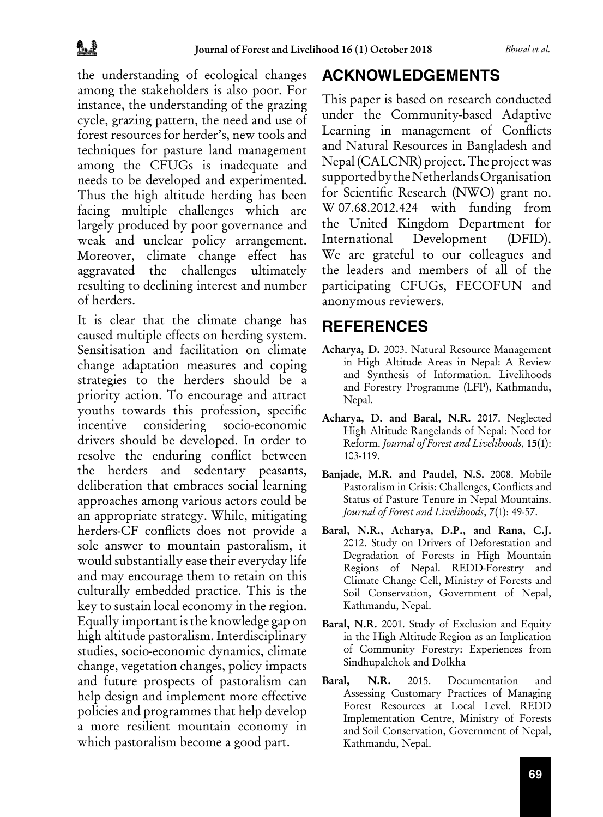the understanding of ecological changes among the stakeholders is also poor. For instance, the understanding of the grazing cycle, grazing pattern, the need and use of forest resources for herder's, new tools and techniques for pasture land management among the CFUGs is inadequate and needs to be developed and experimented. Thus the high altitude herding has been facing multiple challenges which are largely produced by poor governance and weak and unclear policy arrangement. Moreover, climate change effect has aggravated the challenges ultimately resulting to declining interest and number of herders.

It is clear that the climate change has caused multiple effects on herding system. Sensitisation and facilitation on climate change adaptation measures and coping strategies to the herders should be a priority action. To encourage and attract youths towards this profession, specific incentive considering socio-economic drivers should be developed. In order to resolve the enduring conflict between the herders and sedentary peasants, deliberation that embraces social learning approaches among various actors could be an appropriate strategy. While, mitigating herders-CF conflicts does not provide a sole answer to mountain pastoralism, it would substantially ease their everyday life and may encourage them to retain on this culturally embedded practice. This is the key to sustain local economy in the region. Equally important is the knowledge gap on high altitude pastoralism. Interdisciplinary studies, socio-economic dynamics, climate change, vegetation changes, policy impacts and future prospects of pastoralism can help design and implement more effective policies and programmes that help develop a more resilient mountain economy in which pastoralism become a good part.

## **ACKNOWLEDGEMENTS**

This paper is based on research conducted under the Community-based Adaptive Learning in management of Conflicts and Natural Resources in Bangladesh and Nepal (CALCNR) project. The project was supported by the Netherlands Organisation for Scientific Research (NWO) grant no. W 07.68.2012.424 with funding from the United Kingdom Department for International Development (DFID). We are grateful to our colleagues and the leaders and members of all of the participating CFUGs, FECOFUN and anonymous reviewers.

## **REFERENCES**

- Acharya, D. 2003. Natural Resource Management in High Altitude Areas in Nepal: A Review and Synthesis of Information. Livelihoods and Forestry Programme (LFP), Kathmandu, Nepal.
- Acharya, D. and Baral, N.R. 2017. Neglected High Altitude Rangelands of Nepal: Need for Reform. *Journal of Forest and Livelihoods*, 15(1): 103-119.
- Banjade, M.R. and Paudel, N.S. 2008. Mobile Pastoralism in Crisis: Challenges, Conflicts and Status of Pasture Tenure in Nepal Mountains. *Journal of Forest and Livelihoods*, 7(1): 49-57.
- Baral, N.R., Acharya, D.P., and Rana, C.J. 2012. Study on Drivers of Deforestation and Degradation of Forests in High Mountain Regions of Nepal. REDD-Forestry and Climate Change Cell, Ministry of Forests and Soil Conservation, Government of Nepal, Kathmandu, Nepal.
- Baral, N.R. 2001. Study of Exclusion and Equity in the High Altitude Region as an Implication of Community Forestry: Experiences from Sindhupalchok and Dolkha
- Baral, N.R. 2015. Documentation and Assessing Customary Practices of Managing Forest Resources at Local Level. REDD Implementation Centre, Ministry of Forests and Soil Conservation, Government of Nepal, Kathmandu, Nepal.